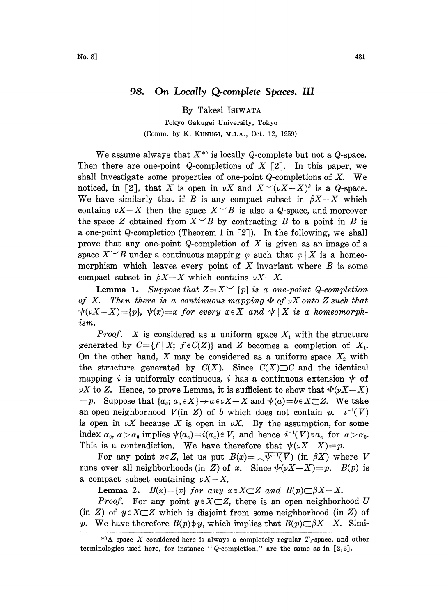## 98. On Locally Q-complete Spaces. III

By Takesi ISIWATA

Tokyo Gakugei University, Tokyo (Comm. by K. KUNUGI, M.J.A., Oct. 12, 1959)

We assume always that  $X^*$  is locally Q-complete but not a Q-space. Then there are one-point Q-completions of  $X \nightharpoondown 2$ . In this paper, we shall investigate some properties of one-point  $Q$ -completions of  $X$ . We noticed, in [2], that X is open in  $\nu X$  and  $X \sim (\nu X-X)^{\beta}$  is a Q-space. We have similarly that if B is any compact subset in  $\beta X-X$  which contains  $\nu X-X$  then the space  $X\smile B$  is also a Q-space, and moreover the space Z obtained from  $X^{\smile}B$  by contracting B to a point in B is a one-point Q-completion (Theorem 1 in  $[2]$ ). In the following, we shall prove that any one-point  $Q$ -completion of  $X$  is given as an image of a space  $X^\smile B$  under a continuous mapping  $\varphi$  such that  $\varphi|X$  is a homeomorphism which leaves every point of  $X$  invariant where  $B$  is some compact subset in  $\beta X-X$  which contains  $\nu X-X$ .

**Lemma 1.** Suppose that  $Z=X^\vee$  {p} is a one-point Q-completion of X. Then there is a continuous mapping  $\psi$  of  $\nu X$  onto Z such that  $\psi(x-X)=[p], \psi(x)=x$  for every  $x \in X$  and  $\psi \mid X$  is a homeomorphism.

*Proof.* X is considered as a uniform space  $X_1$  with the structure generated by  $C = \{f \mid X; f \in C(Z)\}$  and Z becomes a completion of  $X_1$ . On the other hand, X may be considered as a uniform space  $X_2$  with the structure generated by  $C(X)$ . Since  $C(X) \supset C$  and the identical mapping i is uniformly continuous, i has a continuous extension  $\psi$  of  $\nu X$  to Z. Hence, to prove Lemma, it is sufficient to show that  $\psi(\nu X-X)$  $=p.$  Suppose that  $\{a_{\alpha}; a_{\alpha} \in X\} \rightarrow a \in \nu X-X$  and  $\psi(a)=b \in X \subset Z$ . We take an open neighborhood  $V(\text{in } Z)$  of b which does not contain p.  $i^{-1}(V)$ is open in  $\nu X$  because X is open in  $\nu X$ . By the assumption, for some index  $\alpha_0$ ,  $\alpha > \alpha_0$  implies  $\psi(\alpha_\alpha) = i(\alpha_\alpha) \in V$ , and hence  $i^{-1}(V) \ni \alpha_\alpha$  for  $\alpha > \alpha_0$ . This is a contradiction. We have therefore that  $\psi(\nu X-X)=p$ .

For any point  $x \in Z$ , let us put  $B(x) = \sqrt{\psi^{-1}(V)}$  (in  $\beta X$ ) where V runs over all neighborhoods (in Z) of x. Since  $\psi(\nu X-X)=p$ .  $B(p)$  is a compact subset containing  $\nu X-X$ .

**Lemma 2.**  $B(x) = \{x\}$  for any  $x \in X \subset Z$  and  $B(p) \subset \beta X - X$ .

*Proof.* For any point  $y \in X \subset Z$ , there is an open neighborhood U (in Z) of  $y \in X \subseteq Z$  which is disjoint from some neighborhood (in Z) of p. We have therefore  $B(p) \neq y$ , which implies that  $B(p) \subset \beta X - X$ . Simi-

<sup>\*&</sup>gt;A space X considered here is always a completely regular  $T_1$ -space, and other terminologies used here, for instance " $Q$ -completion," are the same as in  $[2,3]$ .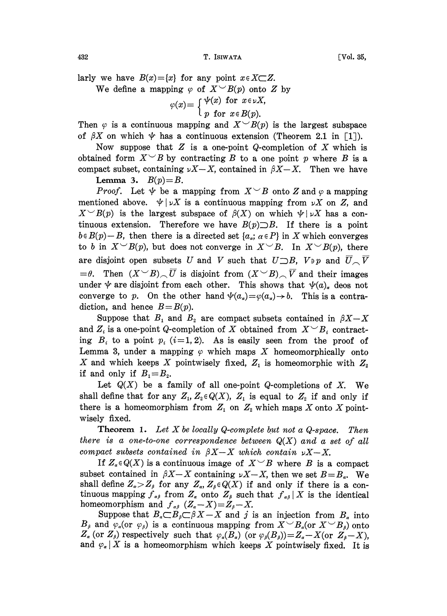432 **T.** ISIWATA [Vol. 35,

larly we have  $B(x) = \{x\}$  for any point  $x \in X \subset Z$ .

We define a mapping  $\varphi$  of  $X \sim B(p)$  onto Z by

 $\varphi(x) = \int \psi(x)$  for  $x \in \nu X$ ,

$$
\int p \text{ for } x \in B(p).
$$

Then  $\varphi$  is a continuous mapping and  $X \sim B(p)$  is the largest subspace of  $\beta X$  on which  $\psi$  has a continuous extension (Theorem 2.1 in [1]).

Now suppose that  $Z$  is a one-point Q-completion of  $X$  which is obtained form  $X \subseteq B$  by contracting B to a one point p where B is a compact subset, containing  $\nu X-X$ , contained in  $\beta X-X$ . Then we have Lemma 3.  $B(p)=B$ .

*Proof.* Let  $\psi$  be a mapping from  $X \sim B$  onto Z and  $\varphi$  a mapping mentioned above.  $\psi |_{\nu} X$  is a continuous mapping from  $\nu X$  on Z, and  $X \sim B(p)$  is the largest subspace of  $\beta(X)$  on which  $\psi | \nu X$  has a continuous extension. Therefore we have  $B(p)\supset B$ . If there is a point  $b \in B(p)-B$ , then there is a directed set  $\{a_{\alpha}; \alpha \in P\}$  in X which converges to b in  $X \sim B(p)$ , but does not converge in  $X \sim B$ . In  $X \sim B(p)$ , there are disjoint open subsets U and V such that  $U\supset B$ ,  $V\ni p$  and  $\overline{U}\supset \overline{V}$  $=$   $\theta$ . Then  $(X \cup B) \cap \overline{U}$  is disjoint from  $(X \cup B) \cap \overline{V}$  and their images under  $\psi$  are disjoint from each other. This shows that  $\psi(a)$  deos not converge to p. On the other hand  $\psi(a_{\alpha})=\varphi(a_{\alpha})\to b$ . This is a contradiction, and hence  $B=B(p)$ .

Suppose that  $B_1$  and  $B_2$  are compact subsets contained in  $\beta X - X$ <br>and  $Z_i$  is a one-point Q-completion of X obtained from  $X \subseteq B_i$  contract-<br>ing  $B$  to a point  $p_i$   $(i-1, 2)$ . As is opsily seen from the proof of and  $Z_i$  is a one-point Q-completion of X obtained from  $X \subseteq B_i$  contracting  $B_i$  to a point  $p_i$  (i=1,2). As is easily seen from the proof of Lemma 3, under a mapping  $\varphi$  which maps X homeomorphically onto X and which keeps X pointwisely fixed,  $Z_1$  is homeomorphic with  $Z_2$ if and only if  $B_1=B_2$ .

Let  $Q(X)$  be a family of all one-point Q-completions of X. We shall define that for any  $Z_1, Z_2 \in Q(X), Z_1$  is equal to  $Z_2$  if and only if there is a homeomorphism from  $Z_1$  on  $Z_2$  which maps X onto X pointwisely fixed.

**Theorem 1.** Let X be locally Q-complete but not a Q-space. Then there is a one-to-one correspondence between  $Q(X)$  and a set of all compact subsets contained in  $\beta X-X$  which contain  $\nu X-X$ .

If  $Z_a \in Q(X)$  is a continuous image of  $X \subseteq B$  where B is a compact subset contained in  $\beta X-X$  containing  $\nu X-X$ , then we set  $B=B_{\alpha}$ . We shall define  $Z_a > Z_\beta$  for any  $Z_a$ ,  $Z_\beta \in Q(X)$  if and only if there is a continuous mapping  $f_{\alpha\beta}$  from  $Z_{\alpha}$  onto  $Z_{\beta}$  such that  $f_{\alpha\beta}|X$  is the identical homeomorphism and  $f_{\alpha\beta}$   $(Z_{\alpha}-X)=Z_{\beta}-X$ .

Suppose that  $B_{\alpha} \subset B_{\beta} \subset \beta X - X$  and j is an injection from  $B_{\alpha}$  into  $B_{\beta}$  and  $\varphi_a$  (or  $\varphi_{\beta}$ ) is a continuous mapping from  $X \sim B_{\alpha}$  (or  $X \sim B_{\beta}$ ) onto  $Z_{\alpha}$  (or  $Z_{\beta}$ ) respectively such that  $\varphi_{\alpha}(B_{\alpha})$  (or  $\varphi_{\beta}(B_{\beta})=Z_{\alpha}-X$  (or  $Z_{\beta}-X$ ), and  $\varphi_{\alpha} | X$  is a homeomorphism which keeps X pointwisely fixed. It is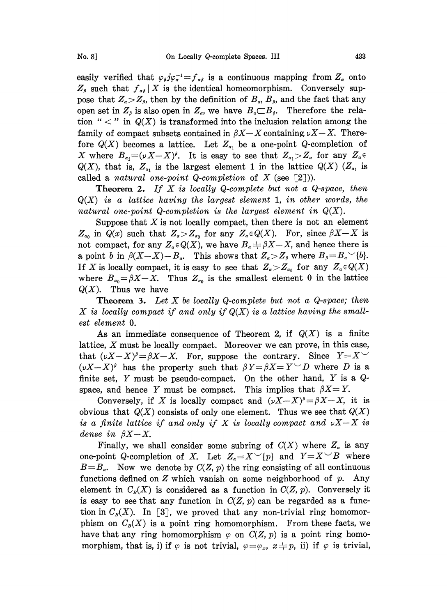easily verified that  $\varphi_{\beta} j \varphi_{\alpha}^{-1} = f_{\alpha \beta}$  is a continuous mapping from  $Z_{\alpha}$  onto  $Z_{\beta}$  such that  $f_{\alpha\beta}|X$  is the identical homeomorphism. Conversely suppose that  $Z_{\alpha} > Z_{\beta}$ , then by the definition of  $B_{\alpha}$ ,  $B_{\beta}$ , and the fact that any open set in  $Z_{\beta}$  is also open in  $Z_{\alpha}$ , we have  $B_{\alpha} \subset B_{\beta}$ . Therefore the relation "  $\lt$  " in  $Q(X)$  is transformed into the inclusion relation among the family of compact subsets contained in  $\beta X-X$  containing  $\nu X-X$ . Therefore  $Q(X)$  becomes a lattice. Let  $Z_{\alpha}$ , be a one-point Q-completion of X where  $B_{\alpha_1}=(\nu X-X)^{\beta}$ . It is easy to see that  $Z_{\alpha_1}>Z_{\alpha}$  for any  $Z_{\alpha}\in$  $Q(X)$ , that is,  $Z_{\alpha_1}$  is the largest element 1 in the lattice  $Q(X)$  ( $Z_{\alpha_1}$  is called a natural one-point Q-completion of X (see  $[2]$ )).

**Theorem 2.** If X is locally Q-complete but not a Q-space, then  $Q(X)$  is a lattice having the largest element 1, in other words, the natural one-point Q-completion is the largest element in  $Q(X)$ .

Suppose that  $X$  is not locally compact, then there is not an element  $Z_{\alpha_0}$  in  $Q(x)$  such that  $Z_{\alpha} > Z_{\alpha_0}$  for any  $Z_{\alpha} \in Q(X)$ . For, since  $\beta X - X$  is not compact, for any  $Z_a \in Q(X)$ , we have  $B_a \neq \beta X - X$ , and hence there is a point b in  $\beta(X-X)-B_{\alpha}$ . This shows that  $Z_{\alpha} > Z_{\beta}$  where  $B_{\beta}=B_{\alpha} \setminus \{b\}.$ If X is locally compact, it is easy to see that  $Z_{\alpha} > Z_{\alpha_0}$  for any  $Z_{\alpha} \in Q(X)$ where  $B_{\alpha_0} = \beta X - X$ . Thus  $Z_{\alpha_0}$  is the smallest element 0 in the lattice  $Q(X)$ . Thus we have

**Theorem 3.** Let X be locally Q-complete but not a Q-space; then X is locally compact if and only if  $Q(X)$  is a lattice having the smallest element O.

As an immediate consequence of Theorem 2, if  $Q(X)$  is a finite lattice, X must be locally compact. Moreover we can prove, in this case, that  $(\nu X-X)^{\beta} = \beta X-X$ . For, suppose the contrary. Since  $Y=X^{\vee}$ that  $(\nu X - X)^{\beta} = \beta X - X$ . For, suppose the contrary. Since  $Y = X^{\backslash}$   $(\nu X - X)^{\beta}$  has the property such that  $\beta Y = \beta X = Y^{\backslash} D$  where D is a finite set, Y must be pseudo-compact. On the other hand, Y is a Qfinite set, Y must be pseudo-compact. On the other hand, Y is a  $Q$ space, and hence Y must be compact. This implies that  $\beta X = Y$ .

Conversely, if X is locally compact and  $(\nu X-X)^{\beta} = \beta X-X$ , it is obvious that  $Q(X)$  consists of only one element. Thus we see that  $Q(X)$ is a finite lattice if and only if X is locally compact and  $\nu X-X$  is dense in  $\beta X-X$ .

Finally, we shall consider some subring of  $C(X)$  where  $Z_{\alpha}$  is any one-point Q-completion of X. Let  $Z_a = X^\vee \{p\}$  and  $Y = X^\vee B$  where  $B=B<sub>a</sub>$ . Now we denote by  $C(Z, p)$  the ring consisting of all continuous functions defined on  $Z$  which vanish on some neighborhood of  $p$ . Any element in  $C_B(X)$  is considered as a function in  $C(Z, p)$ . Conversely it is easy to see that any function in  $C(Z, p)$  can be regarded as a function in  $C_B(X)$ . In [3], we proved that any non-trivial ring homomorphism on  $C_p(X)$  is a point ring homomorphism. From these facts, we have that any ring homomorphism  $\varphi$  on  $C(Z, p)$  is a point ring homomorphism, that is, i) if  $\varphi$  is not trivial,  $\varphi = \varphi_x$ ,  $x \neq p$ , ii) if  $\varphi$  is trivial,